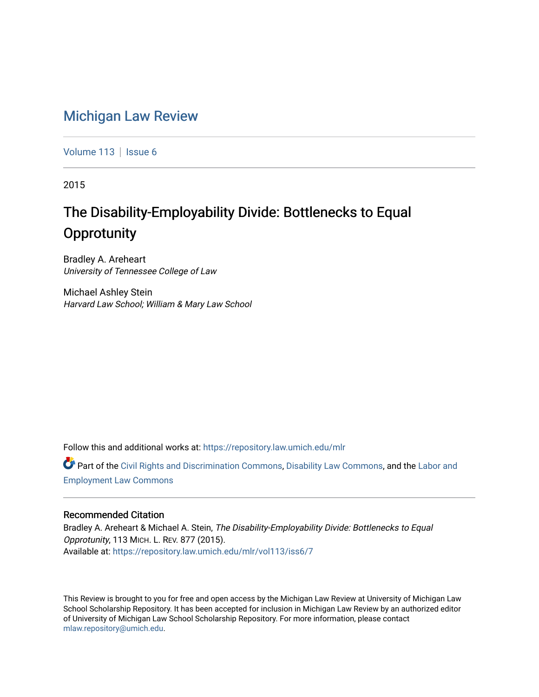## [Michigan Law Review](https://repository.law.umich.edu/mlr)

[Volume 113](https://repository.law.umich.edu/mlr/vol113) | [Issue 6](https://repository.law.umich.edu/mlr/vol113/iss6)

2015

# The Disability-Employability Divide: Bottlenecks to Equal **Opprotunity**

Bradley A. Areheart University of Tennessee College of Law

Michael Ashley Stein Harvard Law School; William & Mary Law School

Follow this and additional works at: [https://repository.law.umich.edu/mlr](https://repository.law.umich.edu/mlr?utm_source=repository.law.umich.edu%2Fmlr%2Fvol113%2Fiss6%2F7&utm_medium=PDF&utm_campaign=PDFCoverPages) 

Part of the [Civil Rights and Discrimination Commons,](http://network.bepress.com/hgg/discipline/585?utm_source=repository.law.umich.edu%2Fmlr%2Fvol113%2Fiss6%2F7&utm_medium=PDF&utm_campaign=PDFCoverPages) [Disability Law Commons](http://network.bepress.com/hgg/discipline/1074?utm_source=repository.law.umich.edu%2Fmlr%2Fvol113%2Fiss6%2F7&utm_medium=PDF&utm_campaign=PDFCoverPages), and the Labor and [Employment Law Commons](http://network.bepress.com/hgg/discipline/909?utm_source=repository.law.umich.edu%2Fmlr%2Fvol113%2Fiss6%2F7&utm_medium=PDF&utm_campaign=PDFCoverPages)

## Recommended Citation

Bradley A. Areheart & Michael A. Stein, The Disability-Employability Divide: Bottlenecks to Equal Opprotunity, 113 MICH. L. REV. 877 (2015). Available at: [https://repository.law.umich.edu/mlr/vol113/iss6/7](https://repository.law.umich.edu/mlr/vol113/iss6/7?utm_source=repository.law.umich.edu%2Fmlr%2Fvol113%2Fiss6%2F7&utm_medium=PDF&utm_campaign=PDFCoverPages) 

This Review is brought to you for free and open access by the Michigan Law Review at University of Michigan Law School Scholarship Repository. It has been accepted for inclusion in Michigan Law Review by an authorized editor of University of Michigan Law School Scholarship Repository. For more information, please contact [mlaw.repository@umich.edu.](mailto:mlaw.repository@umich.edu)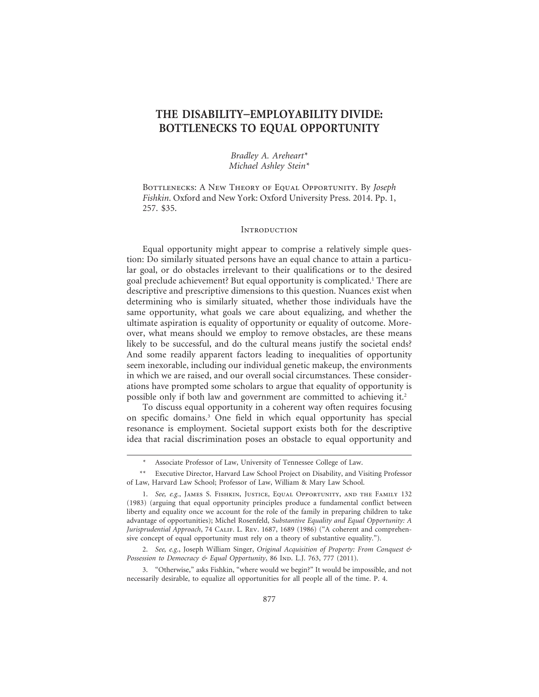## **THE DISABILITY**–**EMPLOYABILITY DIVIDE: BOTTLENECKS TO EQUAL OPPORTUNITY**

*Bradley A. Areheart\* Michael Ashley Stein\**

Bottlenecks: A New Theory of Equal Opportunity. By *Joseph Fishkin*. Oxford and New York: Oxford University Press. 2014. Pp. 1, 257. \$35.

#### **INTRODUCTION**

Equal opportunity might appear to comprise a relatively simple question: Do similarly situated persons have an equal chance to attain a particular goal, or do obstacles irrelevant to their qualifications or to the desired goal preclude achievement? But equal opportunity is complicated.1 There are descriptive and prescriptive dimensions to this question. Nuances exist when determining who is similarly situated, whether those individuals have the same opportunity, what goals we care about equalizing, and whether the ultimate aspiration is equality of opportunity or equality of outcome. Moreover, what means should we employ to remove obstacles, are these means likely to be successful, and do the cultural means justify the societal ends? And some readily apparent factors leading to inequalities of opportunity seem inexorable, including our individual genetic makeup, the environments in which we are raised, and our overall social circumstances. These considerations have prompted some scholars to argue that equality of opportunity is possible only if both law and government are committed to achieving it.2

To discuss equal opportunity in a coherent way often requires focusing on specific domains.3 One field in which equal opportunity has special resonance is employment. Societal support exists both for the descriptive idea that racial discrimination poses an obstacle to equal opportunity and

3. "Otherwise," asks Fishkin, "where would we begin?" It would be impossible, and not necessarily desirable, to equalize all opportunities for all people all of the time. P. 4.

Associate Professor of Law, University of Tennessee College of Law.

<sup>\*\*</sup> Executive Director, Harvard Law School Project on Disability, and Visiting Professor of Law, Harvard Law School; Professor of Law, William & Mary Law School.

<sup>1.</sup> *See, e.g.*, James S. Fishkin, Justice, Equal Opportunity, and the Family 132 (1983) (arguing that equal opportunity principles produce a fundamental conflict between liberty and equality once we account for the role of the family in preparing children to take advantage of opportunities); Michel Rosenfeld, *Substantive Equality and Equal Opportunity: A Jurisprudential Approach*, 74 Calif. L. Rev. 1687, 1689 (1986) ("A coherent and comprehensive concept of equal opportunity must rely on a theory of substantive equality.").

<sup>2.</sup> *See, e.g.*, Joseph William Singer, *Original Acquisition of Property: From Conquest & Possession to Democracy & Equal Opportunity*, 86 Ind. L.J. 763, 777 (2011).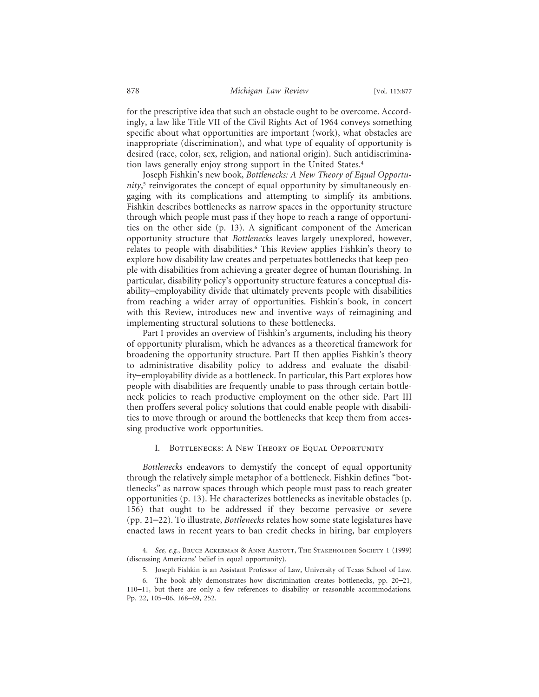for the prescriptive idea that such an obstacle ought to be overcome. Accordingly, a law like Title VII of the Civil Rights Act of 1964 conveys something specific about what opportunities are important (work), what obstacles are inappropriate (discrimination), and what type of equality of opportunity is desired (race, color, sex, religion, and national origin). Such antidiscrimination laws generally enjoy strong support in the United States.4

Joseph Fishkin's new book, *Bottlenecks: A New Theory of Equal Opportunity*, 5 reinvigorates the concept of equal opportunity by simultaneously engaging with its complications and attempting to simplify its ambitions. Fishkin describes bottlenecks as narrow spaces in the opportunity structure through which people must pass if they hope to reach a range of opportunities on the other side (p. 13). A significant component of the American opportunity structure that *Bottlenecks* leaves largely unexplored, however, relates to people with disabilities.6 This Review applies Fishkin's theory to explore how disability law creates and perpetuates bottlenecks that keep people with disabilities from achieving a greater degree of human flourishing. In particular, disability policy's opportunity structure features a conceptual disability–employability divide that ultimately prevents people with disabilities from reaching a wider array of opportunities. Fishkin's book, in concert with this Review, introduces new and inventive ways of reimagining and implementing structural solutions to these bottlenecks.

Part I provides an overview of Fishkin's arguments, including his theory of opportunity pluralism, which he advances as a theoretical framework for broadening the opportunity structure. Part II then applies Fishkin's theory to administrative disability policy to address and evaluate the disability–employability divide as a bottleneck. In particular, this Part explores how people with disabilities are frequently unable to pass through certain bottleneck policies to reach productive employment on the other side. Part III then proffers several policy solutions that could enable people with disabilities to move through or around the bottlenecks that keep them from accessing productive work opportunities.

#### I. Bottlenecks: A New Theory of Equal Opportunity

*Bottlenecks* endeavors to demystify the concept of equal opportunity through the relatively simple metaphor of a bottleneck. Fishkin defines "bottlenecks" as narrow spaces through which people must pass to reach greater opportunities (p. 13). He characterizes bottlenecks as inevitable obstacles (p. 156) that ought to be addressed if they become pervasive or severe (pp. 21–22). To illustrate, *Bottlenecks* relates how some state legislatures have enacted laws in recent years to ban credit checks in hiring, bar employers

<sup>4.</sup> *See, e.g.*, Bruce Ackerman & Anne Alstott, The Stakeholder Society 1 (1999) (discussing Americans' belief in equal opportunity).

<sup>5.</sup> Joseph Fishkin is an Assistant Professor of Law, University of Texas School of Law.

<sup>6.</sup> The book ably demonstrates how discrimination creates bottlenecks, pp. 20–21, 110–11, but there are only a few references to disability or reasonable accommodations. Pp. 22, 105–06, 168–69, 252.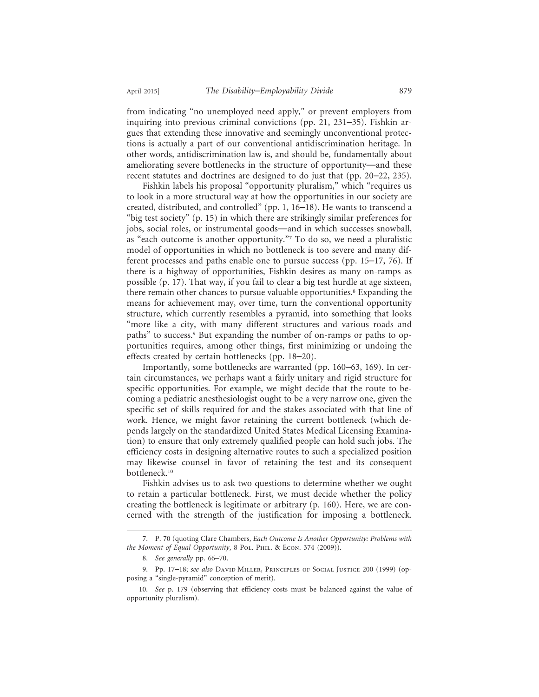from indicating "no unemployed need apply," or prevent employers from inquiring into previous criminal convictions (pp. 21, 231–35). Fishkin argues that extending these innovative and seemingly unconventional protections is actually a part of our conventional antidiscrimination heritage. In other words, antidiscrimination law is, and should be, fundamentally about ameliorating severe bottlenecks in the structure of opportunity—and these recent statutes and doctrines are designed to do just that (pp. 20–22, 235).

Fishkin labels his proposal "opportunity pluralism," which "requires us to look in a more structural way at how the opportunities in our society are created, distributed, and controlled" (pp. 1, 16–18). He wants to transcend a "big test society" (p. 15) in which there are strikingly similar preferences for jobs, social roles, or instrumental goods—and in which successes snowball, as "each outcome is another opportunity."7 To do so, we need a pluralistic model of opportunities in which no bottleneck is too severe and many different processes and paths enable one to pursue success (pp. 15–17, 76). If there is a highway of opportunities, Fishkin desires as many on-ramps as possible (p. 17). That way, if you fail to clear a big test hurdle at age sixteen, there remain other chances to pursue valuable opportunities.<sup>8</sup> Expanding the means for achievement may, over time, turn the conventional opportunity structure, which currently resembles a pyramid, into something that looks "more like a city, with many different structures and various roads and paths" to success.<sup>9</sup> But expanding the number of on-ramps or paths to opportunities requires, among other things, first minimizing or undoing the effects created by certain bottlenecks (pp. 18–20).

Importantly, some bottlenecks are warranted (pp. 160–63, 169). In certain circumstances, we perhaps want a fairly unitary and rigid structure for specific opportunities. For example, we might decide that the route to becoming a pediatric anesthesiologist ought to be a very narrow one, given the specific set of skills required for and the stakes associated with that line of work. Hence, we might favor retaining the current bottleneck (which depends largely on the standardized United States Medical Licensing Examination) to ensure that only extremely qualified people can hold such jobs. The efficiency costs in designing alternative routes to such a specialized position may likewise counsel in favor of retaining the test and its consequent bottleneck.10

Fishkin advises us to ask two questions to determine whether we ought to retain a particular bottleneck. First, we must decide whether the policy creating the bottleneck is legitimate or arbitrary (p. 160). Here, we are concerned with the strength of the justification for imposing a bottleneck.

<sup>7.</sup> P. 70 (quoting Clare Chambers, *Each Outcome Is Another Opportunity: Problems with the Moment of Equal Opportunity*, 8 Pol. Phil. & Econ. 374 (2009)).

<sup>8.</sup> *See generally* pp. 66–70.

<sup>9.</sup> Pp. 17–18; *see also* David Miller, Principles of Social Justice 200 (1999) (opposing a "single-pyramid" conception of merit).

<sup>10.</sup> *See* p. 179 (observing that efficiency costs must be balanced against the value of opportunity pluralism).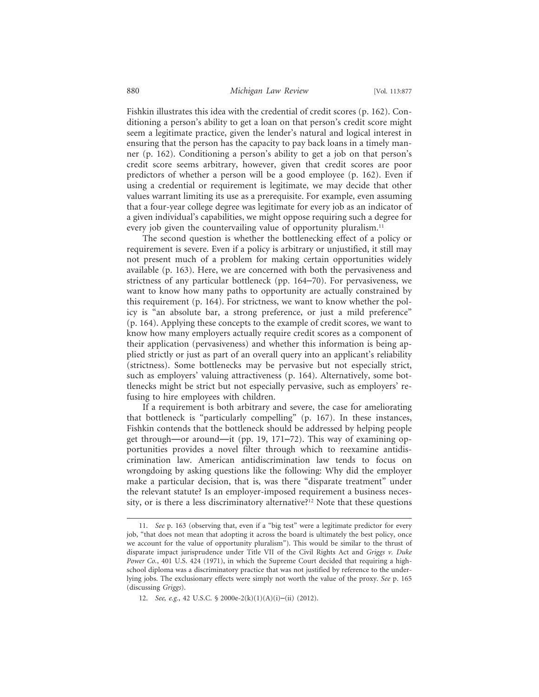Fishkin illustrates this idea with the credential of credit scores (p. 162). Conditioning a person's ability to get a loan on that person's credit score might seem a legitimate practice, given the lender's natural and logical interest in ensuring that the person has the capacity to pay back loans in a timely manner (p. 162). Conditioning a person's ability to get a job on that person's credit score seems arbitrary, however, given that credit scores are poor predictors of whether a person will be a good employee (p. 162). Even if using a credential or requirement is legitimate, we may decide that other values warrant limiting its use as a prerequisite. For example, even assuming that a four-year college degree was legitimate for every job as an indicator of a given individual's capabilities, we might oppose requiring such a degree for every job given the countervailing value of opportunity pluralism.<sup>11</sup>

The second question is whether the bottlenecking effect of a policy or requirement is severe. Even if a policy is arbitrary or unjustified, it still may not present much of a problem for making certain opportunities widely available (p. 163). Here, we are concerned with both the pervasiveness and strictness of any particular bottleneck (pp. 164–70). For pervasiveness, we want to know how many paths to opportunity are actually constrained by this requirement (p. 164). For strictness, we want to know whether the policy is "an absolute bar, a strong preference, or just a mild preference" (p. 164). Applying these concepts to the example of credit scores, we want to know how many employers actually require credit scores as a component of their application (pervasiveness) and whether this information is being applied strictly or just as part of an overall query into an applicant's reliability (strictness). Some bottlenecks may be pervasive but not especially strict, such as employers' valuing attractiveness (p. 164). Alternatively, some bottlenecks might be strict but not especially pervasive, such as employers' refusing to hire employees with children.

If a requirement is both arbitrary and severe, the case for ameliorating that bottleneck is "particularly compelling" (p. 167). In these instances, Fishkin contends that the bottleneck should be addressed by helping people get through—or around—it (pp. 19, 171–72). This way of examining opportunities provides a novel filter through which to reexamine antidiscrimination law. American antidiscrimination law tends to focus on wrongdoing by asking questions like the following: Why did the employer make a particular decision, that is, was there "disparate treatment" under the relevant statute? Is an employer-imposed requirement a business necessity, or is there a less discriminatory alternative?<sup>12</sup> Note that these questions

<sup>11.</sup> *See* p. 163 (observing that, even if a "big test" were a legitimate predictor for every job, "that does not mean that adopting it across the board is ultimately the best policy, once we account for the value of opportunity pluralism"). This would be similar to the thrust of disparate impact jurisprudence under Title VII of the Civil Rights Act and *Griggs v. Duke Power Co.*, 401 U.S. 424 (1971), in which the Supreme Court decided that requiring a highschool diploma was a discriminatory practice that was not justified by reference to the underlying jobs. The exclusionary effects were simply not worth the value of the proxy. *See* p. 165 (discussing *Griggs*).

<sup>12.</sup> *See, e.g.*, 42 U.S.C. § 2000e-2(k)(1)(A)(i)–(ii) (2012).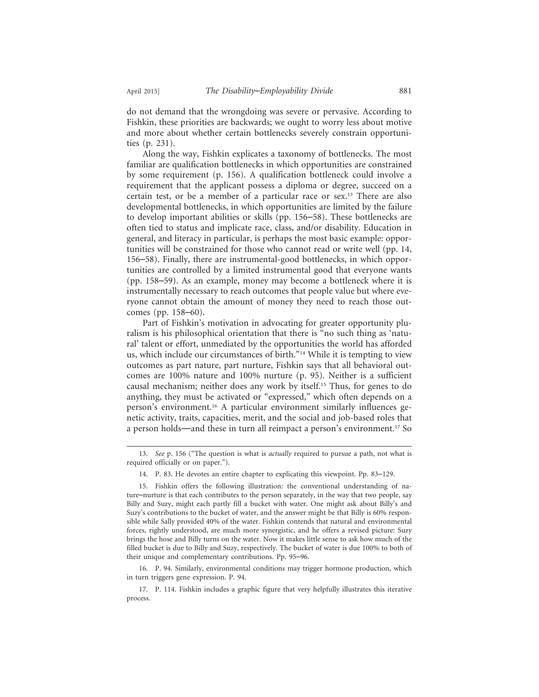do not demand that the wrongdoing was severe or pervasive. According to Fishkin, these priorities are backwards; we ought to worry less about motive and more about whether certain bottlenecks severely constrain opportunities (p. 231).

Along the way, Fishkin explicates a taxonomy of bottlenecks. The most familiar are qualification bottlenecks in which opportunities are constrained by some requirement (p. 156). A qualification bottleneck could involve a requirement that the applicant possess a diploma or degree, succeed on a certain test, or be a member of a particular race or sex.13 There are also developmental bottlenecks, in which opportunities are limited by the failure to develop important abilities or skills (pp. 156–58). These bottlenecks are often tied to status and implicate race, class, and/or disability. Education in general, and literacy in particular, is perhaps the most basic example: opportunities will be constrained for those who cannot read or write well (pp. 14, 156–58). Finally, there are instrumental-good bottlenecks, in which opportunities are controlled by a limited instrumental good that everyone wants (pp. 158–59). As an example, money may become a bottleneck where it is instrumentally necessary to reach outcomes that people value but where everyone cannot obtain the amount of money they need to reach those outcomes (pp. 158–60).

Part of Fishkin's motivation in advocating for greater opportunity pluralism is his philosophical orientation that there is "no such thing as 'natural' talent or effort, unmediated by the opportunities the world has afforded us, which include our circumstances of birth."14 While it is tempting to view outcomes as part nature, part nurture, Fishkin says that all behavioral outcomes are 100% nature and 100% nurture (p. 95). Neither is a sufficient causal mechanism; neither does any work by itself.15 Thus, for genes to do anything, they must be activated or "expressed," which often depends on a person's environment.16 A particular environment similarly influences genetic activity, traits, capacities, merit, and the social and job-based roles that a person holds—and these in turn all reimpact a person's environment.<sup>17</sup> So

16. P. 94. Similarly, environmental conditions may trigger hormone production, which in turn triggers gene expression. P. 94.

<sup>13.</sup> *See* p. 156 ("The question is what is *actually* required to pursue a path, not what is required officially or on paper.").

<sup>14.</sup> P. 83. He devotes an entire chapter to explicating this viewpoint. Pp. 83–129.

<sup>15.</sup> Fishkin offers the following illustration: the conventional understanding of nature–nurture is that each contributes to the person separately, in the way that two people, say Billy and Suzy, might each partly fill a bucket with water. One might ask about Billy's and Suzy's contributions to the bucket of water, and the answer might be that Billy is 60% responsible while Sally provided 40% of the water. Fishkin contends that natural and environmental forces, rightly understood, are much more synergistic, and he offers a revised picture: Suzy brings the hose and Billy turns on the water. Now it makes little sense to ask how much of the filled bucket is due to Billy and Suzy, respectively. The bucket of water is due 100% to both of their unique and complementary contributions. Pp. 95–96.

<sup>17.</sup> P. 114. Fishkin includes a graphic figure that very helpfully illustrates this iterative process.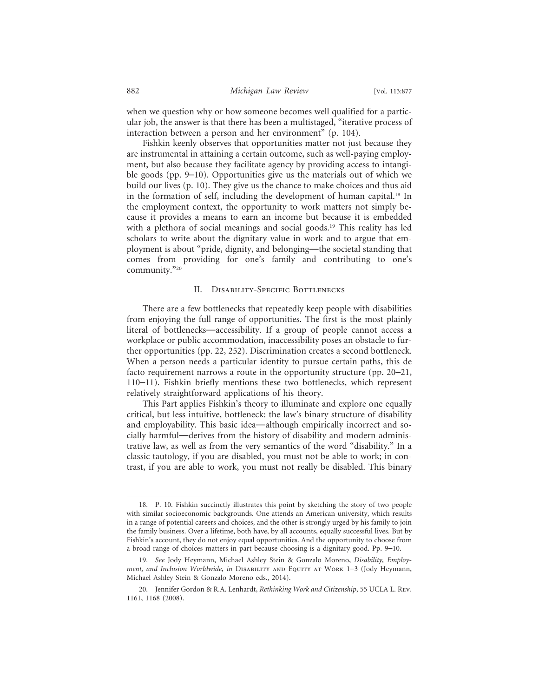when we question why or how someone becomes well qualified for a particular job, the answer is that there has been a multistaged, "iterative process of interaction between a person and her environment" (p. 104).

Fishkin keenly observes that opportunities matter not just because they are instrumental in attaining a certain outcome, such as well-paying employment, but also because they facilitate agency by providing access to intangible goods (pp. 9–10). Opportunities give us the materials out of which we build our lives (p. 10). They give us the chance to make choices and thus aid in the formation of self, including the development of human capital.18 In the employment context, the opportunity to work matters not simply because it provides a means to earn an income but because it is embedded with a plethora of social meanings and social goods.<sup>19</sup> This reality has led scholars to write about the dignitary value in work and to argue that employment is about "pride, dignity, and belonging—the societal standing that comes from providing for one's family and contributing to one's community."20

#### II. Disability-Specific Bottlenecks

There are a few bottlenecks that repeatedly keep people with disabilities from enjoying the full range of opportunities. The first is the most plainly literal of bottlenecks—accessibility. If a group of people cannot access a workplace or public accommodation, inaccessibility poses an obstacle to further opportunities (pp. 22, 252). Discrimination creates a second bottleneck. When a person needs a particular identity to pursue certain paths, this de facto requirement narrows a route in the opportunity structure (pp. 20–21, 110–11). Fishkin briefly mentions these two bottlenecks, which represent relatively straightforward applications of his theory.

This Part applies Fishkin's theory to illuminate and explore one equally critical, but less intuitive, bottleneck: the law's binary structure of disability and employability. This basic idea—although empirically incorrect and socially harmful—derives from the history of disability and modern administrative law, as well as from the very semantics of the word "disability." In a classic tautology, if you are disabled, you must not be able to work; in contrast, if you are able to work, you must not really be disabled. This binary

<sup>18.</sup> P. 10. Fishkin succinctly illustrates this point by sketching the story of two people with similar socioeconomic backgrounds. One attends an American university, which results in a range of potential careers and choices, and the other is strongly urged by his family to join the family business. Over a lifetime, both have, by all accounts, equally successful lives. But by Fishkin's account, they do not enjoy equal opportunities. And the opportunity to choose from a broad range of choices matters in part because choosing is a dignitary good. Pp. 9–10.

<sup>19.</sup> *See* Jody Heymann, Michael Ashley Stein & Gonzalo Moreno, *Disability, Employment, and Inclusion Worldwide*, *in* Disability and Equity at Work 1–3 (Jody Heymann, Michael Ashley Stein & Gonzalo Moreno eds., 2014).

<sup>20.</sup> Jennifer Gordon & R.A. Lenhardt, *Rethinking Work and Citizenship*, 55 UCLA L. Rev. 1161, 1168 (2008).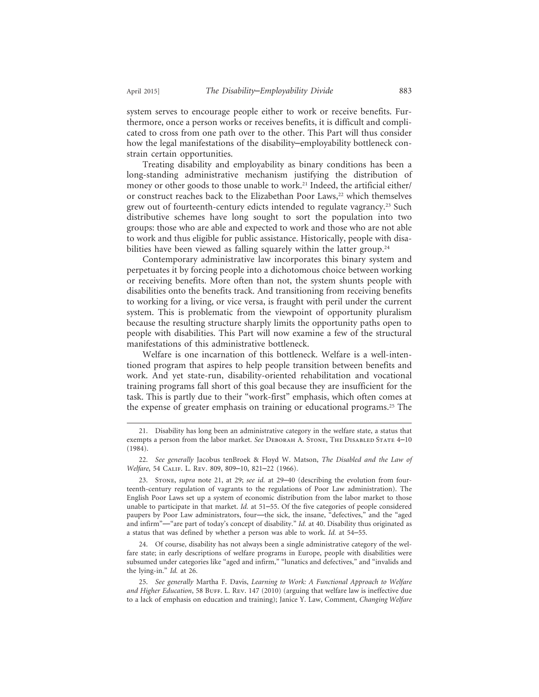system serves to encourage people either to work or receive benefits. Furthermore, once a person works or receives benefits, it is difficult and complicated to cross from one path over to the other. This Part will thus consider how the legal manifestations of the disability–employability bottleneck constrain certain opportunities.

Treating disability and employability as binary conditions has been a long-standing administrative mechanism justifying the distribution of money or other goods to those unable to work.<sup>21</sup> Indeed, the artificial either/ or construct reaches back to the Elizabethan Poor Laws,<sup>22</sup> which themselves grew out of fourteenth-century edicts intended to regulate vagrancy.<sup>23</sup> Such distributive schemes have long sought to sort the population into two groups: those who are able and expected to work and those who are not able to work and thus eligible for public assistance. Historically, people with disabilities have been viewed as falling squarely within the latter group.<sup>24</sup>

Contemporary administrative law incorporates this binary system and perpetuates it by forcing people into a dichotomous choice between working or receiving benefits. More often than not, the system shunts people with disabilities onto the benefits track. And transitioning from receiving benefits to working for a living, or vice versa, is fraught with peril under the current system. This is problematic from the viewpoint of opportunity pluralism because the resulting structure sharply limits the opportunity paths open to people with disabilities. This Part will now examine a few of the structural manifestations of this administrative bottleneck.

Welfare is one incarnation of this bottleneck. Welfare is a well-intentioned program that aspires to help people transition between benefits and work. And yet state-run, disability-oriented rehabilitation and vocational training programs fall short of this goal because they are insufficient for the task. This is partly due to their "work-first" emphasis, which often comes at the expense of greater emphasis on training or educational programs.25 The

<sup>21.</sup> Disability has long been an administrative category in the welfare state, a status that exempts a person from the labor market. *See* Deborah A. Stone, The Disabled State 4–10 (1984).

<sup>22.</sup> *See generally* Jacobus tenBroek & Floyd W. Matson, *The Disabled and the Law of Welfare*, 54 Calif. L. Rev. 809, 809–10, 821–22 (1966).

<sup>23.</sup> Stone, *supra* note 21, at 29; *see id.* at 29–40 (describing the evolution from fourteenth-century regulation of vagrants to the regulations of Poor Law administration). The English Poor Laws set up a system of economic distribution from the labor market to those unable to participate in that market. *Id.* at 51–55. Of the five categories of people considered paupers by Poor Law administrators, four—the sick, the insane, "defectives," and the "aged and infirm"—"are part of today's concept of disability." *Id.* at 40. Disability thus originated as a status that was defined by whether a person was able to work. *Id.* at 54–55.

<sup>24.</sup> Of course, disability has not always been a single administrative category of the welfare state; in early descriptions of welfare programs in Europe, people with disabilities were subsumed under categories like "aged and infirm," "lunatics and defectives," and "invalids and the lying-in." *Id.* at 26.

<sup>25.</sup> *See generally* Martha F. Davis, *Learning to Work: A Functional Approach to Welfare* and Higher Education, 58 BUFF. L. REV. 147 (2010) (arguing that welfare law is ineffective due to a lack of emphasis on education and training); Janice Y. Law, Comment, *Changing Welfare*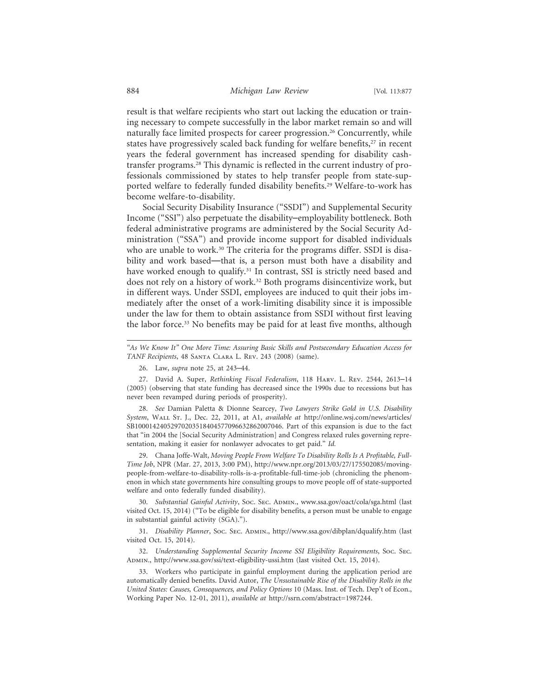result is that welfare recipients who start out lacking the education or training necessary to compete successfully in the labor market remain so and will naturally face limited prospects for career progression.<sup>26</sup> Concurrently, while states have progressively scaled back funding for welfare benefits,<sup>27</sup> in recent years the federal government has increased spending for disability cashtransfer programs.28 This dynamic is reflected in the current industry of professionals commissioned by states to help transfer people from state-supported welfare to federally funded disability benefits.29 Welfare-to-work has become welfare-to-disability.

Social Security Disability Insurance ("SSDI") and Supplemental Security Income ("SSI") also perpetuate the disability–employability bottleneck. Both federal administrative programs are administered by the Social Security Administration ("SSA") and provide income support for disabled individuals who are unable to work.<sup>30</sup> The criteria for the programs differ. SSDI is disability and work based—that is, a person must both have a disability and have worked enough to qualify.<sup>31</sup> In contrast, SSI is strictly need based and does not rely on a history of work.32 Both programs disincentivize work, but in different ways. Under SSDI, employees are induced to quit their jobs immediately after the onset of a work-limiting disability since it is impossible under the law for them to obtain assistance from SSDI without first leaving the labor force.<sup>33</sup> No benefits may be paid for at least five months, although

28. *See* Damian Paletta & Dionne Searcey, *Two Lawyers Strike Gold in U.S. Disability System*, Wall St. J., Dec. 22, 2011, at A1, *available at* http://online.wsj.com/news/articles/ SB10001424052970203518404577096632862007046. Part of this expansion is due to the fact that "in 2004 the [Social Security Administration] and Congress relaxed rules governing representation, making it easier for nonlawyer advocates to get paid." *Id.*

29. Chana Joffe-Walt, *Moving People From Welfare To Disability Rolls Is A Profitable, Full-Time Job*, NPR (Mar. 27, 2013, 3:00 PM), http://www.npr.org/2013/03/27/175502085/movingpeople-from-welfare-to-disability-rolls-is-a-profitable-full-time-job (chronicling the phenomenon in which state governments hire consulting groups to move people off of state-supported welfare and onto federally funded disability).

30. *Substantial Gainful Activity*, Soc. Sec. Admin., www.ssa.gov/oact/cola/sga.html (last visited Oct. 15, 2014) ("To be eligible for disability benefits, a person must be unable to engage in substantial gainful activity (SGA).").

31. *Disability Planner*, Soc. Sec. ADMIN., http://www.ssa.gov/dibplan/dqualify.htm (last visited Oct. 15, 2014).

32. *Understanding Supplemental Security Income SSI Eligibility Requirements*, Soc. Sec. ADMIN., http://www.ssa.gov/ssi/text-eligibility-ussi.htm (last visited Oct. 15, 2014).

33. Workers who participate in gainful employment during the application period are automatically denied benefits. David Autor, *The Unsustainable Rise of the Disability Rolls in the United States: Causes, Consequences, and Policy Options* 10 (Mass. Inst. of Tech. Dep't of Econ., Working Paper No. 12-01, 2011), *available at* http://ssrn.com/abstract=1987244.

*<sup>&</sup>quot;As We Know It" One More Time: Assuring Basic Skills and Postsecondary Education Access for TANF Recipients*, 48 Santa Clara L. Rev. 243 (2008) (same).

<sup>26.</sup> Law, *supra* note 25, at 243–44.

<sup>27.</sup> David A. Super, *Rethinking Fiscal Federalism*, 118 Harv. L. Rev. 2544, 2613–14 (2005) (observing that state funding has decreased since the 1990s due to recessions but has never been revamped during periods of prosperity).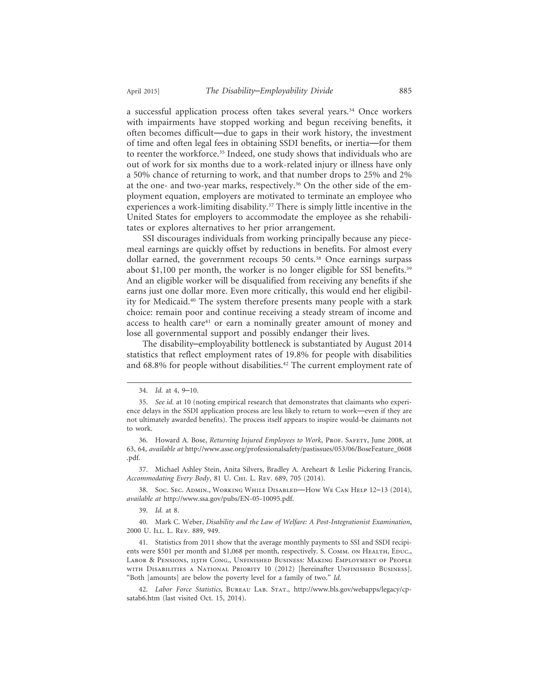a successful application process often takes several years.<sup>34</sup> Once workers with impairments have stopped working and begun receiving benefits, it often becomes difficult—due to gaps in their work history, the investment of time and often legal fees in obtaining SSDI benefits, or inertia—for them to reenter the workforce.<sup>35</sup> Indeed, one study shows that individuals who are out of work for six months due to a work-related injury or illness have only a 50% chance of returning to work, and that number drops to 25% and 2% at the one- and two-year marks, respectively.<sup>36</sup> On the other side of the employment equation, employers are motivated to terminate an employee who experiences a work-limiting disability.<sup>37</sup> There is simply little incentive in the United States for employers to accommodate the employee as she rehabilitates or explores alternatives to her prior arrangement.

SSI discourages individuals from working principally because any piecemeal earnings are quickly offset by reductions in benefits. For almost every dollar earned, the government recoups 50 cents.<sup>38</sup> Once earnings surpass about \$1,100 per month, the worker is no longer eligible for SSI benefits.<sup>39</sup> And an eligible worker will be disqualified from receiving any benefits if she earns just one dollar more. Even more critically, this would end her eligibility for Medicaid.40 The system therefore presents many people with a stark choice: remain poor and continue receiving a steady stream of income and access to health care<sup>41</sup> or earn a nominally greater amount of money and lose all governmental support and possibly endanger their lives.

The disability–employability bottleneck is substantiated by August 2014 statistics that reflect employment rates of 19.8% for people with disabilities and 68.8% for people without disabilities.<sup>42</sup> The current employment rate of

<sup>34.</sup> *Id.* at 4, 9–10.

<sup>35.</sup> *See id.* at 10 (noting empirical research that demonstrates that claimants who experience delays in the SSDI application process are less likely to return to work—even if they are not ultimately awarded benefits). The process itself appears to inspire would-be claimants not to work.

<sup>36.</sup> Howard A. Bose, *Returning Injured Employees to Work*, Prof. SAFETY, June 2008, at 63, 64, *available at* http://www.asse.org/professionalsafety/pastissues/053/06/BoseFeature\_0608 .pdf.

<sup>37.</sup> Michael Ashley Stein, Anita Silvers, Bradley A. Areheart & Leslie Pickering Francis, *Accommodating Every Body*, 81 U. Chi. L. Rev. 689, 705 (2014).

<sup>38.</sup> Soc. Sec. Admin., Working While Disabled—How We Can Help 12–13 (2014), *available at* http://www.ssa.gov/pubs/EN-05-10095.pdf.

<sup>39.</sup> *Id.* at 8.

<sup>40.</sup> Mark C. Weber, *Disability and the Law of Welfare: A Post-Integrationist Examination*, 2000 U. ILL. L. REV. 889, 949.

<sup>41.</sup> Statistics from 2011 show that the average monthly payments to SSI and SSDI recipients were \$501 per month and \$1,068 per month, respectively. S. Сомм. он Неагтн, Educ., Labor & Pensions, 113th Cong., Unfinished Business: Making Employment of People with Disabilities a National Priority 10 (2012) [hereinafter Unfinished Business]. "Both [amounts] are below the poverty level for a family of two." *Id.*

<sup>42.</sup> *Labor Force Statistics*, Bureau Lab. Stat., http://www.bls.gov/webapps/legacy/cpsatab6.htm (last visited Oct. 15, 2014).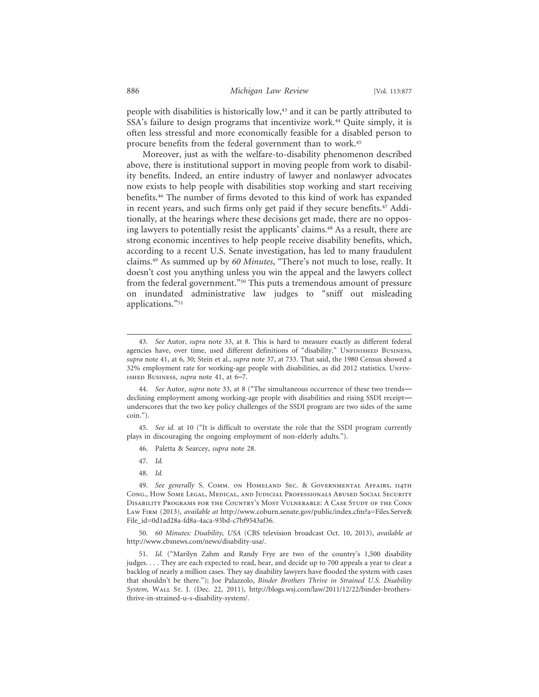people with disabilities is historically low,<sup>43</sup> and it can be partly attributed to SSA's failure to design programs that incentivize work.44 Quite simply, it is often less stressful and more economically feasible for a disabled person to procure benefits from the federal government than to work.45

Moreover, just as with the welfare-to-disability phenomenon described above, there is institutional support in moving people from work to disability benefits. Indeed, an entire industry of lawyer and nonlawyer advocates now exists to help people with disabilities stop working and start receiving benefits.46 The number of firms devoted to this kind of work has expanded in recent years, and such firms only get paid if they secure benefits.47 Additionally, at the hearings where these decisions get made, there are no opposing lawyers to potentially resist the applicants' claims.<sup>48</sup> As a result, there are strong economic incentives to help people receive disability benefits, which, according to a recent U.S. Senate investigation, has led to many fraudulent claims.49 As summed up by *60 Minutes*, "There's not much to lose, really. It doesn't cost you anything unless you win the appeal and the lawyers collect from the federal government."50 This puts a tremendous amount of pressure on inundated administrative law judges to "sniff out misleading applications."51

- 46. Paletta & Searcey, *supra* note 28.
- 47. *Id.*
- 48. *Id.*

50. *60 Minutes: Disability, USA* (CBS television broadcast Oct. 10, 2013), *available at* http://www.cbsnews.com/news/disability-usa/.

<sup>43.</sup> *See* Autor, *supra* note 33, at 8. This is hard to measure exactly as different federal agencies have, over time, used different definitions of "disability." UNFINISHED BUSINESS, *supra* note 41, at 6, 30; Stein et al., *supra* note 37, at 733. That said, the 1980 Census showed a 32% employment rate for working-age people with disabilities, as did 2012 statistics. UNFINished Business, *supra* note 41, at 6–7.

<sup>44.</sup> *See* Autor, *supra* note 33, at 8 ("The simultaneous occurrence of these two trends declining employment among working-age people with disabilities and rising SSDI receipt underscores that the two key policy challenges of the SSDI program are two sides of the same coin.").

<sup>45.</sup> *See id.* at 10 ("It is difficult to overstate the role that the SSDI program currently plays in discouraging the ongoing employment of non-elderly adults.").

<sup>49.</sup> *See generally* S. Comm. on Homeland Sec. & Governmental Affairs, 114th Cong., How Some Legal, Medical, and Judicial Professionals Abused Social Security Disability Programs for the Country's Most Vulnerable: A Case Study of the Conn Law Firm (2013), *available at* http://www.coburn.senate.gov/public/index.cfm?a=Files.Serve& File\_id=0d1ad28a-fd8a-4aca-93bd-c7bf9543af36.

<sup>51.</sup> *Id.* ("Marilyn Zahm and Randy Frye are two of the country's 1,500 disability judges. . . . They are each expected to read, hear, and decide up to 700 appeals a year to clear a backlog of nearly a million cases. They say disability lawyers have flooded the system with cases that shouldn't be there."); Joe Palazzolo, *Binder Brothers Thrive in Strained U.S. Disability System*, Wall St. J. (Dec. 22, 2011), http://blogs.wsj.com/law/2011/12/22/binder-brothersthrive-in-strained-u-s-disability-system/.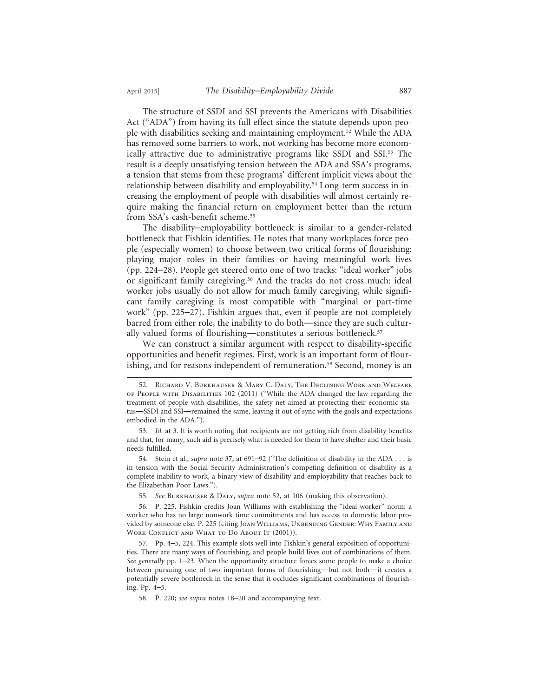The structure of SSDI and SSI prevents the Americans with Disabilities Act ("ADA") from having its full effect since the statute depends upon people with disabilities seeking and maintaining employment.52 While the ADA has removed some barriers to work, not working has become more economically attractive due to administrative programs like SSDI and SSI.53 The result is a deeply unsatisfying tension between the ADA and SSA's programs, a tension that stems from these programs' different implicit views about the relationship between disability and employability.54 Long-term success in increasing the employment of people with disabilities will almost certainly require making the financial return on employment better than the return from SSA's cash-benefit scheme.55

The disability–employability bottleneck is similar to a gender-related bottleneck that Fishkin identifies. He notes that many workplaces force people (especially women) to choose between two critical forms of flourishing: playing major roles in their families or having meaningful work lives (pp. 224–28). People get steered onto one of two tracks: "ideal worker" jobs or significant family caregiving.<sup>56</sup> And the tracks do not cross much: ideal worker jobs usually do not allow for much family caregiving, while significant family caregiving is most compatible with "marginal or part-time work" (pp. 225–27). Fishkin argues that, even if people are not completely barred from either role, the inability to do both—since they are such culturally valued forms of flourishing—constitutes a serious bottleneck.<sup>57</sup>

We can construct a similar argument with respect to disability-specific opportunities and benefit regimes. First, work is an important form of flourishing, and for reasons independent of remuneration.<sup>58</sup> Second, money is an

<sup>52.</sup> Richard V. Burkhauser & Mary C. Daly, The Declining Work and Welfare of People with Disabilities 102 (2011) ("While the ADA changed the law regarding the treatment of people with disabilities, the safety net aimed at protecting their economic status—SSDI and SSI—remained the same, leaving it out of sync with the goals and expectations embodied in the ADA.").

<sup>53.</sup> *Id.* at 3. It is worth noting that recipients are not getting rich from disability benefits and that, for many, such aid is precisely what is needed for them to have shelter and their basic needs fulfilled.

<sup>54.</sup> Stein et al., *supra* note 37, at 691–92 ("The definition of disability in the ADA . . . is in tension with the Social Security Administration's competing definition of disability as a complete inability to work, a binary view of disability and employability that reaches back to the Elizabethan Poor Laws.").

<sup>55.</sup> *See* Burkhauser & Daly, *supra* note 52, at 106 (making this observation).

<sup>56.</sup> P. 225. Fishkin credits Joan Williams with establishing the "ideal worker" norm: a worker who has no large nonwork time commitments and has access to domestic labor provided by someone else. P. 225 (citing JOAN WILLIAMS, UNBENDING GENDER: WHY FAMILY AND WORK CONFLICT AND WHAT TO DO ABOUT IT (2001)).

<sup>57.</sup> Pp. 4–5, 224. This example slots well into Fishkin's general exposition of opportunities. There are many ways of flourishing, and people build lives out of combinations of them. *See generally* pp. 1–23. When the opportunity structure forces some people to make a choice between pursuing one of two important forms of flourishing—but not both—it creates a potentially severe bottleneck in the sense that it occludes significant combinations of flourishing. Pp. 4–5.

<sup>58.</sup> P. 220; *see supra* notes 18–20 and accompanying text.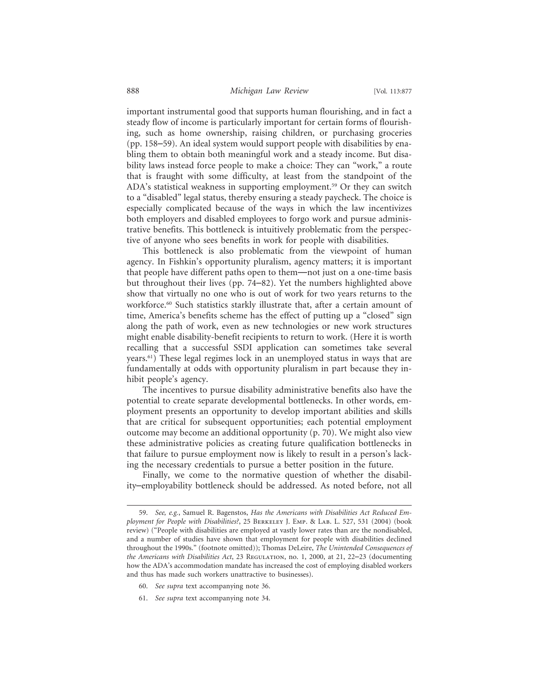important instrumental good that supports human flourishing, and in fact a steady flow of income is particularly important for certain forms of flourishing, such as home ownership, raising children, or purchasing groceries (pp. 158–59). An ideal system would support people with disabilities by enabling them to obtain both meaningful work and a steady income. But disability laws instead force people to make a choice: They can "work," a route that is fraught with some difficulty, at least from the standpoint of the ADA's statistical weakness in supporting employment.<sup>59</sup> Or they can switch to a "disabled" legal status, thereby ensuring a steady paycheck. The choice is especially complicated because of the ways in which the law incentivizes both employers and disabled employees to forgo work and pursue administrative benefits. This bottleneck is intuitively problematic from the perspective of anyone who sees benefits in work for people with disabilities.

This bottleneck is also problematic from the viewpoint of human agency. In Fishkin's opportunity pluralism, agency matters; it is important that people have different paths open to them—not just on a one-time basis but throughout their lives (pp. 74–82). Yet the numbers highlighted above show that virtually no one who is out of work for two years returns to the workforce.<sup>60</sup> Such statistics starkly illustrate that, after a certain amount of time, America's benefits scheme has the effect of putting up a "closed" sign along the path of work, even as new technologies or new work structures might enable disability-benefit recipients to return to work. (Here it is worth recalling that a successful SSDI application can sometimes take several years.61) These legal regimes lock in an unemployed status in ways that are fundamentally at odds with opportunity pluralism in part because they inhibit people's agency.

The incentives to pursue disability administrative benefits also have the potential to create separate developmental bottlenecks. In other words, employment presents an opportunity to develop important abilities and skills that are critical for subsequent opportunities; each potential employment outcome may become an additional opportunity (p. 70). We might also view these administrative policies as creating future qualification bottlenecks in that failure to pursue employment now is likely to result in a person's lacking the necessary credentials to pursue a better position in the future.

Finally, we come to the normative question of whether the disability–employability bottleneck should be addressed. As noted before, not all

- 60. *See supra* text accompanying note 36.
- 61. *See supra* text accompanying note 34.

<sup>59.</sup> *See, e.g.*, Samuel R. Bagenstos, *Has the Americans with Disabilities Act Reduced Employment for People with Disabilities?*, 25 Berkeley J. Emp. & Lab. L. 527, 531 (2004) (book review) ("People with disabilities are employed at vastly lower rates than are the nondisabled, and a number of studies have shown that employment for people with disabilities declined throughout the 1990s." (footnote omitted)); Thomas DeLeire, *The Unintended Consequences of the Americans with Disabilities Act*, 23 Regulation, no. 1, 2000, at 21, 22–23 (documenting how the ADA's accommodation mandate has increased the cost of employing disabled workers and thus has made such workers unattractive to businesses).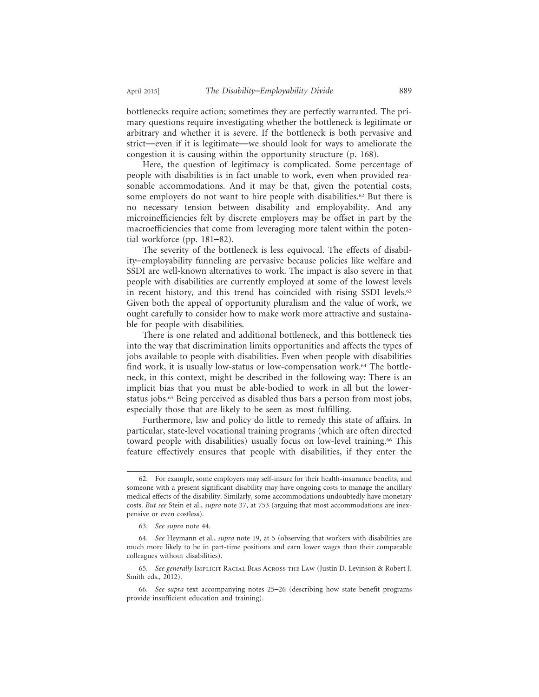bottlenecks require action; sometimes they are perfectly warranted. The primary questions require investigating whether the bottleneck is legitimate or arbitrary and whether it is severe. If the bottleneck is both pervasive and strict—even if it is legitimate—we should look for ways to ameliorate the congestion it is causing within the opportunity structure (p. 168).

Here, the question of legitimacy is complicated. Some percentage of people with disabilities is in fact unable to work, even when provided reasonable accommodations. And it may be that, given the potential costs, some employers do not want to hire people with disabilities.<sup>62</sup> But there is no necessary tension between disability and employability. And any microinefficiencies felt by discrete employers may be offset in part by the macroefficiencies that come from leveraging more talent within the potential workforce (pp. 181–82).

The severity of the bottleneck is less equivocal. The effects of disability–employability funneling are pervasive because policies like welfare and SSDI are well-known alternatives to work. The impact is also severe in that people with disabilities are currently employed at some of the lowest levels in recent history, and this trend has coincided with rising SSDI levels.<sup>63</sup> Given both the appeal of opportunity pluralism and the value of work, we ought carefully to consider how to make work more attractive and sustainable for people with disabilities.

There is one related and additional bottleneck, and this bottleneck ties into the way that discrimination limits opportunities and affects the types of jobs available to people with disabilities. Even when people with disabilities find work, it is usually low-status or low-compensation work.<sup>64</sup> The bottleneck, in this context, might be described in the following way: There is an implicit bias that you must be able-bodied to work in all but the lowerstatus jobs.65 Being perceived as disabled thus bars a person from most jobs, especially those that are likely to be seen as most fulfilling.

Furthermore, law and policy do little to remedy this state of affairs. In particular, state-level vocational training programs (which are often directed toward people with disabilities) usually focus on low-level training.<sup>66</sup> This feature effectively ensures that people with disabilities, if they enter the

<sup>62.</sup> For example, some employers may self-insure for their health-insurance benefits, and someone with a present significant disability may have ongoing costs to manage the ancillary medical effects of the disability. Similarly, some accommodations undoubtedly have monetary costs. *But see* Stein et al., *supra* note 37, at 753 (arguing that most accommodations are inexpensive or even costless).

<sup>63.</sup> *See supra* note 44.

<sup>64.</sup> *See* Heymann et al., *supra* note 19, at 5 (observing that workers with disabilities are much more likely to be in part-time positions and earn lower wages than their comparable colleagues without disabilities).

<sup>65.</sup> *See generally* Implicit Racial Bias Across the Law (Justin D. Levinson & Robert J. Smith eds., 2012).

<sup>66.</sup> *See supra* text accompanying notes 25–26 (describing how state benefit programs provide insufficient education and training).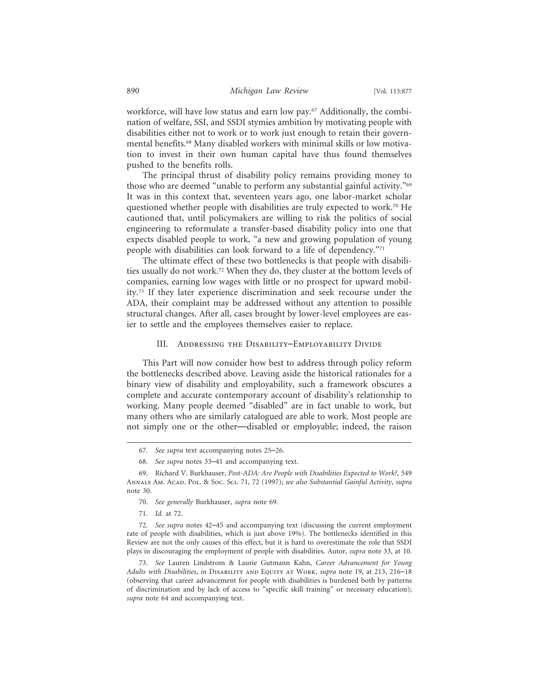workforce, will have low status and earn low pay.67 Additionally, the combination of welfare, SSI, and SSDI stymies ambition by motivating people with disabilities either not to work or to work just enough to retain their governmental benefits.68 Many disabled workers with minimal skills or low motivation to invest in their own human capital have thus found themselves pushed to the benefits rolls.

The principal thrust of disability policy remains providing money to those who are deemed "unable to perform any substantial gainful activity."69 It was in this context that, seventeen years ago, one labor-market scholar questioned whether people with disabilities are truly expected to work.<sup>70</sup> He cautioned that, until policymakers are willing to risk the politics of social engineering to reformulate a transfer-based disability policy into one that expects disabled people to work, "a new and growing population of young people with disabilities can look forward to a life of dependency."71

The ultimate effect of these two bottlenecks is that people with disabilities usually do not work.72 When they do, they cluster at the bottom levels of companies, earning low wages with little or no prospect for upward mobility.73 If they later experience discrimination and seek recourse under the ADA, their complaint may be addressed without any attention to possible structural changes. After all, cases brought by lower-level employees are easier to settle and the employees themselves easier to replace.

#### III. Addressing the Disability–Employability Divide

This Part will now consider how best to address through policy reform the bottlenecks described above. Leaving aside the historical rationales for a binary view of disability and employability, such a framework obscures a complete and accurate contemporary account of disability's relationship to working. Many people deemed "disabled" are in fact unable to work, but many others who are similarly catalogued are able to work. Most people are not simply one or the other—disabled or employable; indeed, the raison

<sup>67.</sup> *See supra* text accompanying notes 25–26.

<sup>68.</sup> *See supra* notes 33–41 and accompanying text.

<sup>69.</sup> Richard V. Burkhauser, *Post-ADA: Are People with Disabilities Expected to Work?*, 549 Annals Am. Acad. Pol. & Soc. Sci. 71, 72 (1997); *see also Substantial Gainful Activity*, *supra* note 30.

<sup>70.</sup> *See generally* Burkhauser, *supra* note 69.

<sup>71.</sup> *Id.* at 72.

<sup>72.</sup> *See supra* notes 42–45 and accompanying text (discussing the current employment rate of people with disabilities, which is just above 19%). The bottlenecks identified in this Review are not the only causes of this effect, but it is hard to overestimate the role that SSDI plays in discouraging the employment of people with disabilities. Autor, *supra* note 33, at 10.

<sup>73.</sup> *See* Lauren Lindstrom & Laurie Gutmann Kahn, *Career Advancement for Young Adults with Disabilities*, *in* Disability and Equity at Work, *supra* note 19, at 213, 216–18 (observing that career advancement for people with disabilities is burdened both by patterns of discrimination and by lack of access to "specific skill training" or necessary education); *supra* note 64 and accompanying text.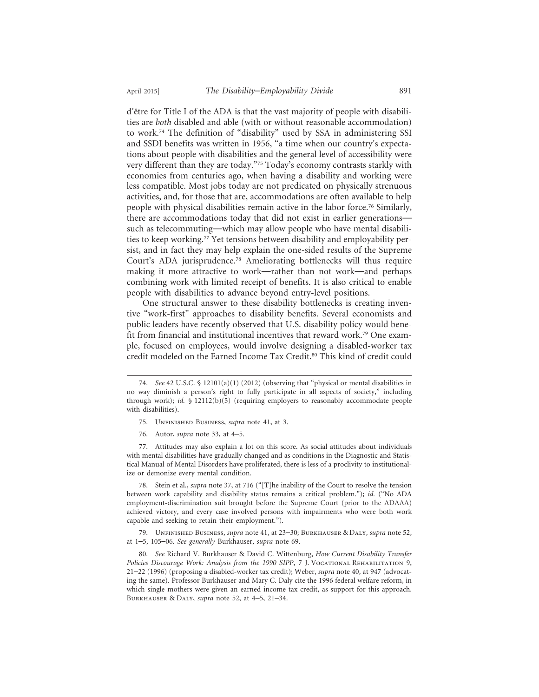d'être for Title I of the ADA is that the vast majority of people with disabilities are *both* disabled and able (with or without reasonable accommodation) to work.74 The definition of "disability" used by SSA in administering SSI and SSDI benefits was written in 1956, "a time when our country's expectations about people with disabilities and the general level of accessibility were very different than they are today."75 Today's economy contrasts starkly with economies from centuries ago, when having a disability and working were less compatible. Most jobs today are not predicated on physically strenuous activities, and, for those that are, accommodations are often available to help people with physical disabilities remain active in the labor force.76 Similarly, there are accommodations today that did not exist in earlier generations such as telecommuting—which may allow people who have mental disabilities to keep working.77 Yet tensions between disability and employability persist, and in fact they may help explain the one-sided results of the Supreme Court's ADA jurisprudence.78 Ameliorating bottlenecks will thus require making it more attractive to work—rather than not work—and perhaps combining work with limited receipt of benefits. It is also critical to enable people with disabilities to advance beyond entry-level positions.

One structural answer to these disability bottlenecks is creating inventive "work-first" approaches to disability benefits. Several economists and public leaders have recently observed that U.S. disability policy would benefit from financial and institutional incentives that reward work.79 One example, focused on employees, would involve designing a disabled-worker tax credit modeled on the Earned Income Tax Credit.<sup>80</sup> This kind of credit could

- 75. Unfinished Business, *supra* note 41, at 3.
- 76. Autor, *supra* note 33, at 4–5.

77. Attitudes may also explain a lot on this score. As social attitudes about individuals with mental disabilities have gradually changed and as conditions in the Diagnostic and Statistical Manual of Mental Disorders have proliferated, there is less of a proclivity to institutionalize or demonize every mental condition.

78. Stein et al., *supra* note 37, at 716 ("[T]he inability of the Court to resolve the tension between work capability and disability status remains a critical problem."); *id.* ("No ADA employment-discrimination suit brought before the Supreme Court (prior to the ADAAA) achieved victory, and every case involved persons with impairments who were both work capable and seeking to retain their employment.").

79. Unfinished Business, *supra* note 41, at 23–30; Burkhauser & Daly, *supra* note 52, at 1–5, 105–06. *See generally* Burkhauser, *supra* note 69.

<sup>74.</sup> *See* 42 U.S.C. § 12101(a)(1) (2012) (observing that "physical or mental disabilities in no way diminish a person's right to fully participate in all aspects of society," including through work); *id.* § 12112(b)(5) (requiring employers to reasonably accommodate people with disabilities).

<sup>80.</sup> *See* Richard V. Burkhauser & David C. Wittenburg, *How Current Disability Transfer* Policies Discourage Work: Analysis from the 1990 SIPP, 7 J. VOCATIONAL REHABILITATION 9, 21–22 (1996) (proposing a disabled-worker tax credit); Weber, *supra* note 40, at 947 (advocating the same). Professor Burkhauser and Mary C. Daly cite the 1996 federal welfare reform, in which single mothers were given an earned income tax credit, as support for this approach. Burkhauser & Daly, *supra* note 52, at 4–5, 21–34.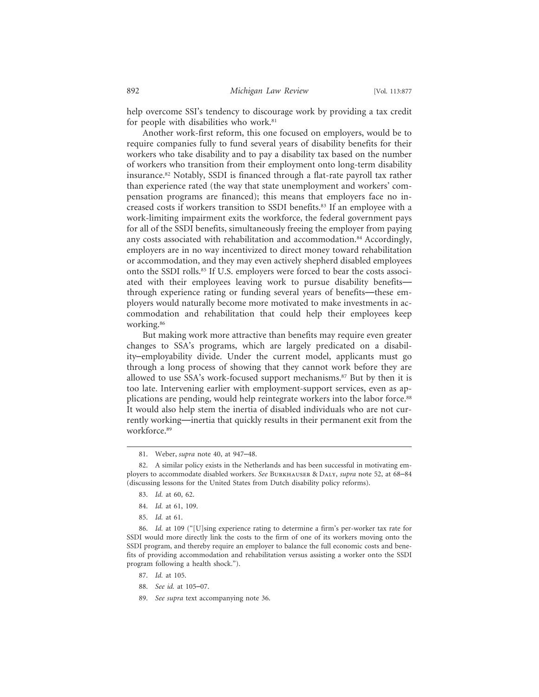help overcome SSI's tendency to discourage work by providing a tax credit for people with disabilities who work.<sup>81</sup>

Another work-first reform, this one focused on employers, would be to require companies fully to fund several years of disability benefits for their workers who take disability and to pay a disability tax based on the number of workers who transition from their employment onto long-term disability insurance.82 Notably, SSDI is financed through a flat-rate payroll tax rather than experience rated (the way that state unemployment and workers' compensation programs are financed); this means that employers face no increased costs if workers transition to SSDI benefits.<sup>83</sup> If an employee with a work-limiting impairment exits the workforce, the federal government pays for all of the SSDI benefits, simultaneously freeing the employer from paying any costs associated with rehabilitation and accommodation.<sup>84</sup> Accordingly, employers are in no way incentivized to direct money toward rehabilitation or accommodation, and they may even actively shepherd disabled employees onto the SSDI rolls.85 If U.S. employers were forced to bear the costs associated with their employees leaving work to pursue disability benefits through experience rating or funding several years of benefits—these employers would naturally become more motivated to make investments in accommodation and rehabilitation that could help their employees keep working.86

But making work more attractive than benefits may require even greater changes to SSA's programs, which are largely predicated on a disability–employability divide. Under the current model, applicants must go through a long process of showing that they cannot work before they are allowed to use SSA's work-focused support mechanisms.87 But by then it is too late. Intervening earlier with employment-support services, even as applications are pending, would help reintegrate workers into the labor force.88 It would also help stem the inertia of disabled individuals who are not currently working—inertia that quickly results in their permanent exit from the workforce.89

- 87. *Id.* at 105.
- 88. *See id.* at 105–07.
- 89. *See supra* text accompanying note 36.

<sup>81.</sup> Weber, *supra* note 40, at 947–48.

<sup>82.</sup> A similar policy exists in the Netherlands and has been successful in motivating employers to accommodate disabled workers. *See* Burkhauser & Daly, *supra* note 52, at 68–84 (discussing lessons for the United States from Dutch disability policy reforms).

<sup>83.</sup> *Id.* at 60, 62.

<sup>84.</sup> *Id.* at 61, 109.

<sup>85.</sup> *Id.* at 61.

<sup>86.</sup> *Id.* at 109 ("[U]sing experience rating to determine a firm's per-worker tax rate for SSDI would more directly link the costs to the firm of one of its workers moving onto the SSDI program, and thereby require an employer to balance the full economic costs and benefits of providing accommodation and rehabilitation versus assisting a worker onto the SSDI program following a health shock.").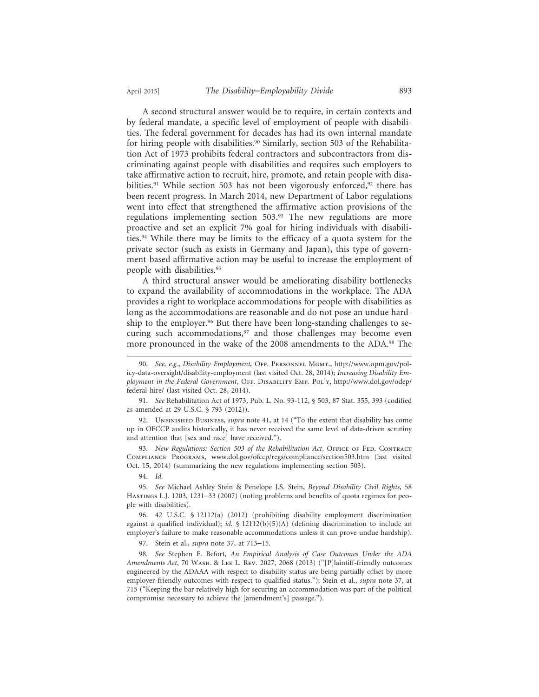A second structural answer would be to require, in certain contexts and by federal mandate, a specific level of employment of people with disabilities. The federal government for decades has had its own internal mandate for hiring people with disabilities.<sup>90</sup> Similarly, section 503 of the Rehabilitation Act of 1973 prohibits federal contractors and subcontractors from discriminating against people with disabilities and requires such employers to take affirmative action to recruit, hire, promote, and retain people with disabilities.<sup>91</sup> While section 503 has not been vigorously enforced,<sup>92</sup> there has been recent progress. In March 2014, new Department of Labor regulations went into effect that strengthened the affirmative action provisions of the regulations implementing section 503.93 The new regulations are more proactive and set an explicit 7% goal for hiring individuals with disabilities.94 While there may be limits to the efficacy of a quota system for the private sector (such as exists in Germany and Japan), this type of government-based affirmative action may be useful to increase the employment of people with disabilities.<sup>95</sup>

A third structural answer would be ameliorating disability bottlenecks to expand the availability of accommodations in the workplace. The ADA provides a right to workplace accommodations for people with disabilities as long as the accommodations are reasonable and do not pose an undue hardship to the employer.<sup>96</sup> But there have been long-standing challenges to securing such accommodations,<sup>97</sup> and those challenges may become even more pronounced in the wake of the 2008 amendments to the ADA.<sup>98</sup> The

91. *See* Rehabilitation Act of 1973, Pub. L. No. 93-112, § 503, 87 Stat. 355, 393 (codified as amended at 29 U.S.C. § 793 (2012)).

92. UNFINISHED BUSINESS, *supra* note 41, at 14 ("To the extent that disability has come up in OFCCP audits historically, it has never received the same level of data-driven scrutiny and attention that [sex and race] have received.").

93. *New Regulations: Section 503 of the Rehabilitation Act*, OFFICE OF FED. CONTRACT Compliance Programs, www.dol.gov/ofccp/regs/compliance/section503.htm (last visited Oct. 15, 2014) (summarizing the new regulations implementing section 503).

94. *Id.*

95. *See* Michael Ashley Stein & Penelope J.S. Stein, *Beyond Disability Civil Rights*, 58 Hastings L.J. 1203, 1231–33 (2007) (noting problems and benefits of quota regimes for people with disabilities).

96. 42 U.S.C. § 12112(a) (2012) (prohibiting disability employment discrimination against a qualified individual); *id.*  $\oint$  12112(b)(5)(A) (defining discrimination to include an employer's failure to make reasonable accommodations unless it can prove undue hardship).

97. Stein et al., *supra* note 37, at 713–15.

98. *See* Stephen F. Befort, *An Empirical Analysis of Case Outcomes Under the ADA Amendments Act*, 70 Wash. & Lee L. Rev. 2027, 2068 (2013) ("[P]laintiff-friendly outcomes engineered by the ADAAA with respect to disability status are being partially offset by more employer-friendly outcomes with respect to qualified status."); Stein et al., *supra* note 37, at 715 ("Keeping the bar relatively high for securing an accommodation was part of the political compromise necessary to achieve the [amendment's] passage.").

<sup>90.</sup> *See, e.g.*, *Disability Employment,* Off. Personnel Mgmt., http://www.opm.gov/policy-data-oversight/disability-employment (last visited Oct. 28, 2014); *Increasing Disability Employment in the Federal Government*, Off. Disability Emp. Pol'y, http://www.dol.gov/odep/ federal-hire/ (last visited Oct. 28, 2014).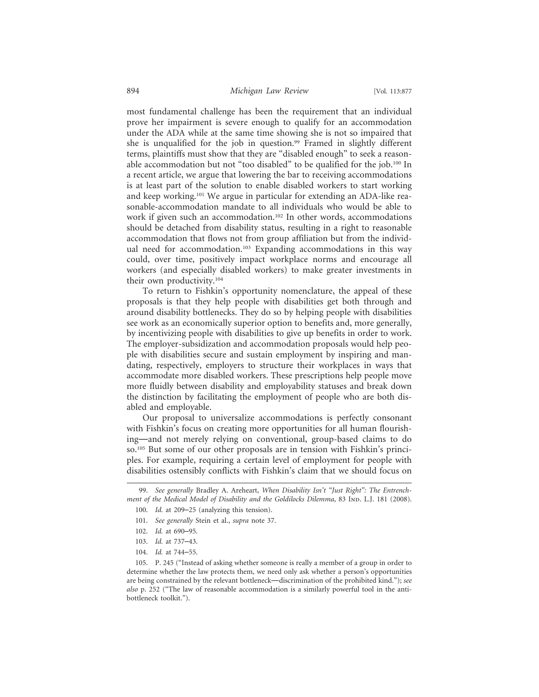most fundamental challenge has been the requirement that an individual prove her impairment is severe enough to qualify for an accommodation under the ADA while at the same time showing she is not so impaired that she is unqualified for the job in question.<sup>99</sup> Framed in slightly different terms, plaintiffs must show that they are "disabled enough" to seek a reasonable accommodation but not "too disabled" to be qualified for the job.100 In a recent article, we argue that lowering the bar to receiving accommodations is at least part of the solution to enable disabled workers to start working and keep working.101 We argue in particular for extending an ADA-like reasonable-accommodation mandate to all individuals who would be able to work if given such an accommodation.<sup>102</sup> In other words, accommodations should be detached from disability status, resulting in a right to reasonable accommodation that flows not from group affiliation but from the individual need for accommodation.<sup>103</sup> Expanding accommodations in this way could, over time, positively impact workplace norms and encourage all workers (and especially disabled workers) to make greater investments in their own productivity.104

To return to Fishkin's opportunity nomenclature, the appeal of these proposals is that they help people with disabilities get both through and around disability bottlenecks. They do so by helping people with disabilities see work as an economically superior option to benefits and, more generally, by incentivizing people with disabilities to give up benefits in order to work. The employer-subsidization and accommodation proposals would help people with disabilities secure and sustain employment by inspiring and mandating, respectively, employers to structure their workplaces in ways that accommodate more disabled workers. These prescriptions help people move more fluidly between disability and employability statuses and break down the distinction by facilitating the employment of people who are both disabled and employable.

Our proposal to universalize accommodations is perfectly consonant with Fishkin's focus on creating more opportunities for all human flourishing—and not merely relying on conventional, group-based claims to do so.105 But some of our other proposals are in tension with Fishkin's principles. For example, requiring a certain level of employment for people with disabilities ostensibly conflicts with Fishkin's claim that we should focus on

104. *Id.* at 744–55.

<sup>99.</sup> *See generally* Bradley A. Areheart, *When Disability Isn't "Just Right": The Entrench*ment of the Medical Model of Disability and the Goldilocks Dilemma, 83 Inp. L.J. 181 (2008).

<sup>100.</sup> *Id.* at 209–25 (analyzing this tension).

<sup>101.</sup> *See generally* Stein et al., *supra* note 37.

<sup>102.</sup> *Id.* at 690–95.

<sup>103.</sup> *Id.* at 737–43.

<sup>105.</sup> P. 245 ("Instead of asking whether someone is really a member of a group in order to determine whether the law protects them, we need only ask whether a person's opportunities are being constrained by the relevant bottleneck—discrimination of the prohibited kind."); *see also* p. 252 ("The law of reasonable accommodation is a similarly powerful tool in the antibottleneck toolkit.").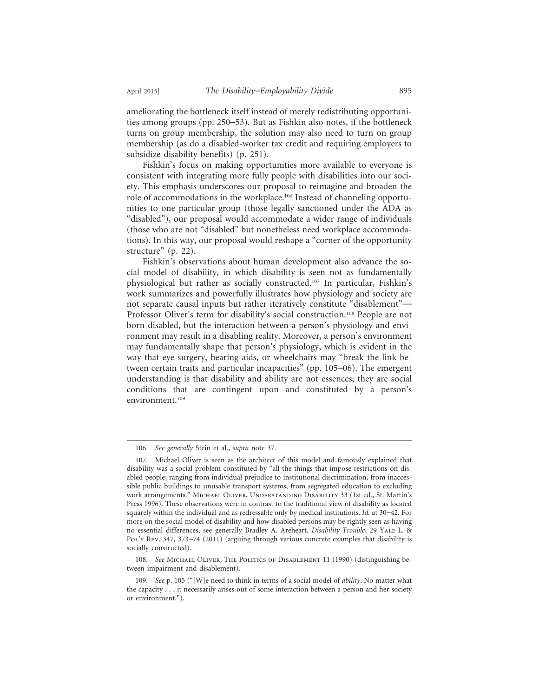ameliorating the bottleneck itself instead of merely redistributing opportunities among groups (pp. 250–53). But as Fishkin also notes, if the bottleneck turns on group membership, the solution may also need to turn on group membership (as do a disabled-worker tax credit and requiring employers to subsidize disability benefits) (p. 251).

Fishkin's focus on making opportunities more available to everyone is consistent with integrating more fully people with disabilities into our society. This emphasis underscores our proposal to reimagine and broaden the role of accommodations in the workplace.106 Instead of channeling opportunities to one particular group (those legally sanctioned under the ADA as "disabled"), our proposal would accommodate a wider range of individuals (those who are not "disabled" but nonetheless need workplace accommodations). In this way, our proposal would reshape a "corner of the opportunity structure" (p. 22).

Fishkin's observations about human development also advance the social model of disability, in which disability is seen not as fundamentally physiological but rather as socially constructed.107 In particular, Fishkin's work summarizes and powerfully illustrates how physiology and society are not separate causal inputs but rather iteratively constitute "disablement"— Professor Oliver's term for disability's social construction.<sup>108</sup> People are not born disabled, but the interaction between a person's physiology and environment may result in a disabling reality. Moreover, a person's environment may fundamentally shape that person's physiology, which is evident in the way that eye surgery, hearing aids, or wheelchairs may "break the link between certain traits and particular incapacities" (pp. 105–06). The emergent understanding is that disability and ability are not essences; they are social conditions that are contingent upon and constituted by a person's environment.<sup>109</sup>

<sup>106.</sup> *See generally* Stein et al., *supra* note 37.

<sup>107.</sup> Michael Oliver is seen as the architect of this model and famously explained that disability was a social problem constituted by "all the things that impose restrictions on disabled people; ranging from individual prejudice to institutional discrimination, from inaccessible public buildings to unusable transport systems, from segregated education to excluding work arrangements." Michael Oliver, Understanding Disability 33 (1st ed., St. Martin's Press 1996). These observations were in contrast to the traditional view of disability as located squarely within the individual and as redressable only by medical institutions. *Id.* at 30–42. For more on the social model of disability and how disabled persons may be rightly seen as having no essential differences, see generally Bradley A. Areheart, *Disability Trouble*, 29 Yale L. & Pol'y Rev. 347, 373–74 (2011) (arguing through various concrete examples that disability is socially constructed).

<sup>108.</sup> See MICHAEL OLIVER, THE POLITICS OF DISABLEMENT 11 (1990) (distinguishing between impairment and disablement).

<sup>109.</sup> *See* p. 105 ("[W]e need to think in terms of a social model of *ability*. No matter what the capacity . . . it necessarily arises out of some interaction between a person and her society or environment.").